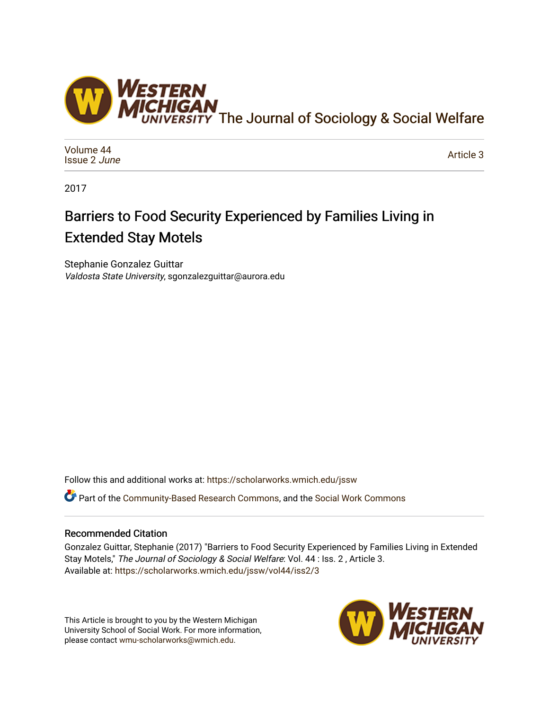

[Volume 44](https://scholarworks.wmich.edu/jssw/vol44) [Issue 2](https://scholarworks.wmich.edu/jssw/vol44/iss2) June

[Article 3](https://scholarworks.wmich.edu/jssw/vol44/iss2/3) 

2017

# Barriers to Food Security Experienced by Families Living in Extended Stay Motels

Stephanie Gonzalez Guittar Valdosta State University, sgonzalezguittar@aurora.edu

Follow this and additional works at: [https://scholarworks.wmich.edu/jssw](https://scholarworks.wmich.edu/jssw?utm_source=scholarworks.wmich.edu%2Fjssw%2Fvol44%2Fiss2%2F3&utm_medium=PDF&utm_campaign=PDFCoverPages) 

Part of the [Community-Based Research Commons](http://network.bepress.com/hgg/discipline/1047?utm_source=scholarworks.wmich.edu%2Fjssw%2Fvol44%2Fiss2%2F3&utm_medium=PDF&utm_campaign=PDFCoverPages), and the [Social Work Commons](http://network.bepress.com/hgg/discipline/713?utm_source=scholarworks.wmich.edu%2Fjssw%2Fvol44%2Fiss2%2F3&utm_medium=PDF&utm_campaign=PDFCoverPages) 

# Recommended Citation

Gonzalez Guittar, Stephanie (2017) "Barriers to Food Security Experienced by Families Living in Extended Stay Motels," The Journal of Sociology & Social Welfare: Vol. 44 : Iss. 2 , Article 3. Available at: [https://scholarworks.wmich.edu/jssw/vol44/iss2/3](https://scholarworks.wmich.edu/jssw/vol44/iss2/3?utm_source=scholarworks.wmich.edu%2Fjssw%2Fvol44%2Fiss2%2F3&utm_medium=PDF&utm_campaign=PDFCoverPages)

This Article is brought to you by the Western Michigan University School of Social Work. For more information, please contact [wmu-scholarworks@wmich.edu.](mailto:wmu-scholarworks@wmich.edu)

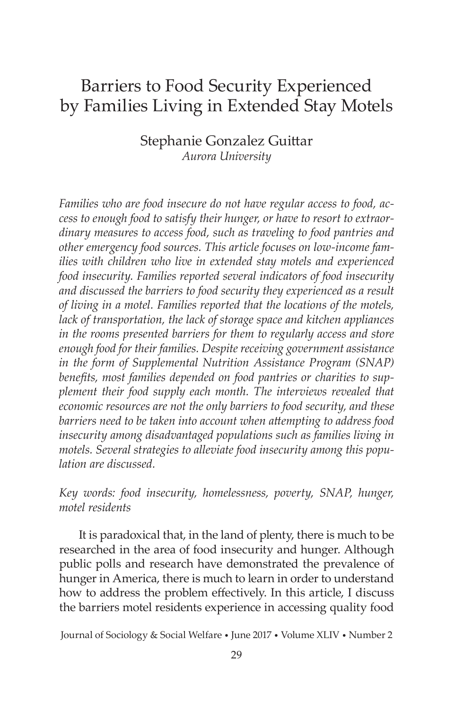# Barriers to Food Security Experienced by Families Living in Extended Stay Motels

Stephanie Gonzalez Guittar *Aurora University*

*Families who are food insecure do not have regular access to food, access to enough food to satisfy their hunger, or have to resort to extraordinary measures to access food, such as traveling to food pantries and other emergency food sources. This article focuses on low-income families with children who live in extended stay motels and experienced food insecurity. Families reported several indicators of food insecurity and discussed the barriers to food security they experienced as a result of living in a motel. Families reported that the locations of the motels, lack of transportation, the lack of storage space and kitchen appliances in the rooms presented barriers for them to regularly access and store enough food for their families. Despite receiving government assistance in the form of Supplemental Nutrition Assistance Program (SNAP) benefits, most families depended on food pantries or charities to supplement their food supply each month. The interviews revealed that economic resources are not the only barriers to food security, and these barriers need to be taken into account when attempting to address food insecurity among disadvantaged populations such as families living in motels. Several strategies to alleviate food insecurity among this population are discussed.*

*Key words: food insecurity, homelessness, poverty, SNAP, hunger, motel residents*

It is paradoxical that, in the land of plenty, there is much to be researched in the area of food insecurity and hunger. Although public polls and research have demonstrated the prevalence of hunger in America, there is much to learn in order to understand how to address the problem effectively. In this article, I discuss the barriers motel residents experience in accessing quality food

Journal of Sociology & Social Welfare • June 2017 • Volume XLIV • Number 2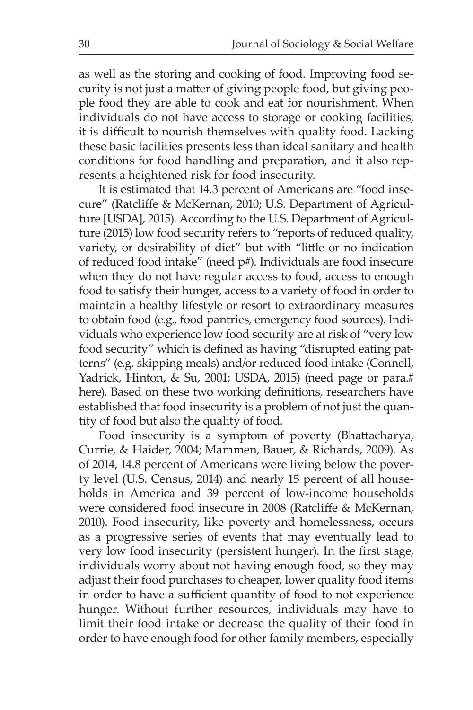as well as the storing and cooking of food. Improving food security is not just a matter of giving people food, but giving people food they are able to cook and eat for nourishment. When individuals do not have access to storage or cooking facilities, it is difficult to nourish themselves with quality food. Lacking these basic facilities presents less than ideal sanitary and health conditions for food handling and preparation, and it also represents a heightened risk for food insecurity.

It is estimated that 14.3 percent of Americans are "food insecure" (Ratcliffe & McKernan, 2010; U.S. Department of Agriculture [USDA], 2015). According to the U.S. Department of Agriculture (2015) low food security refers to "reports of reduced quality, variety, or desirability of diet" but with "little or no indication of reduced food intake" (need p#). Individuals are food insecure when they do not have regular access to food, access to enough food to satisfy their hunger, access to a variety of food in order to maintain a healthy lifestyle or resort to extraordinary measures to obtain food (e.g., food pantries, emergency food sources). Individuals who experience low food security are at risk of "very low food security" which is defined as having "disrupted eating patterns" (e.g. skipping meals) and/or reduced food intake (Connell, Yadrick, Hinton, & Su, 2001; USDA, 2015) (need page or para.# here). Based on these two working definitions, researchers have established that food insecurity is a problem of not just the quantity of food but also the quality of food.

Food insecurity is a symptom of poverty (Bhattacharya, Currie, & Haider, 2004; Mammen, Bauer, & Richards, 2009). As of 2014, 14.8 percent of Americans were living below the poverty level (U.S. Census, 2014) and nearly 15 percent of all households in America and 39 percent of low-income households were considered food insecure in 2008 (Ratcliffe & McKernan, 2010). Food insecurity, like poverty and homelessness, occurs as a progressive series of events that may eventually lead to very low food insecurity (persistent hunger). In the first stage, individuals worry about not having enough food, so they may adjust their food purchases to cheaper, lower quality food items in order to have a sufficient quantity of food to not experience hunger. Without further resources, individuals may have to limit their food intake or decrease the quality of their food in order to have enough food for other family members, especially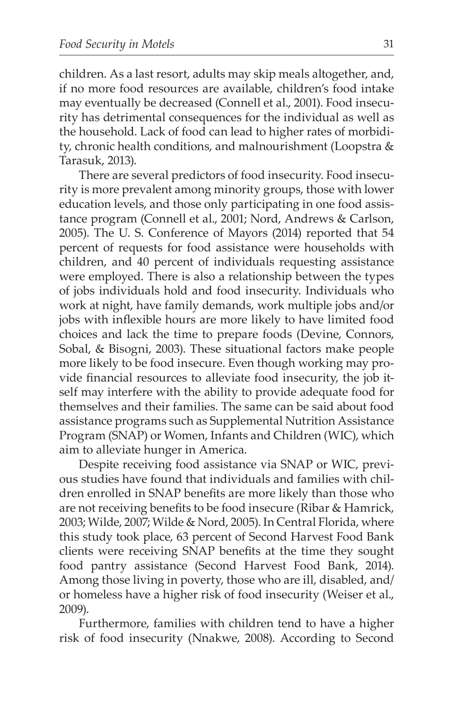children. As a last resort, adults may skip meals altogether, and, if no more food resources are available, children's food intake may eventually be decreased (Connell et al., 2001). Food insecurity has detrimental consequences for the individual as well as the household. Lack of food can lead to higher rates of morbidity, chronic health conditions, and malnourishment (Loopstra & Tarasuk, 2013).

There are several predictors of food insecurity. Food insecurity is more prevalent among minority groups, those with lower education levels, and those only participating in one food assistance program (Connell et al., 2001; Nord, Andrews & Carlson, 2005). The U. S. Conference of Mayors (2014) reported that 54 percent of requests for food assistance were households with children, and 40 percent of individuals requesting assistance were employed. There is also a relationship between the types of jobs individuals hold and food insecurity. Individuals who work at night, have family demands, work multiple jobs and/or jobs with inflexible hours are more likely to have limited food choices and lack the time to prepare foods (Devine, Connors, Sobal, & Bisogni, 2003). These situational factors make people more likely to be food insecure. Even though working may provide financial resources to alleviate food insecurity, the job itself may interfere with the ability to provide adequate food for themselves and their families. The same can be said about food assistance programs such as Supplemental Nutrition Assistance Program (SNAP) or Women, Infants and Children (WIC), which aim to alleviate hunger in America.

Despite receiving food assistance via SNAP or WIC, previous studies have found that individuals and families with children enrolled in SNAP benefits are more likely than those who are not receiving benefits to be food insecure (Ribar & Hamrick, 2003; Wilde, 2007; Wilde & Nord, 2005). In Central Florida, where this study took place, 63 percent of Second Harvest Food Bank clients were receiving SNAP benefits at the time they sought food pantry assistance (Second Harvest Food Bank, 2014). Among those living in poverty, those who are ill, disabled, and/ or homeless have a higher risk of food insecurity (Weiser et al., 2009).

Furthermore, families with children tend to have a higher risk of food insecurity (Nnakwe, 2008). According to Second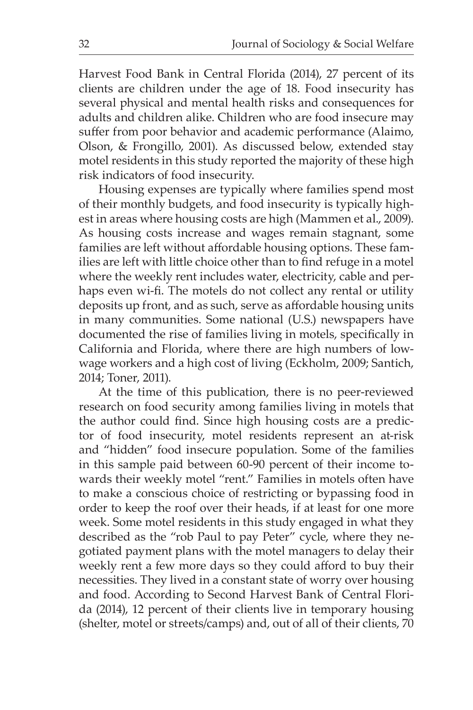Harvest Food Bank in Central Florida (2014), 27 percent of its clients are children under the age of 18. Food insecurity has several physical and mental health risks and consequences for adults and children alike. Children who are food insecure may suffer from poor behavior and academic performance (Alaimo, Olson, & Frongillo, 2001). As discussed below, extended stay motel residents in this study reported the majority of these high risk indicators of food insecurity.

Housing expenses are typically where families spend most of their monthly budgets, and food insecurity is typically highest in areas where housing costs are high (Mammen et al., 2009). As housing costs increase and wages remain stagnant, some families are left without affordable housing options. These families are left with little choice other than to find refuge in a motel where the weekly rent includes water, electricity, cable and perhaps even wi-fi. The motels do not collect any rental or utility deposits up front, and as such, serve as affordable housing units in many communities. Some national (U.S.) newspapers have documented the rise of families living in motels, specifically in California and Florida, where there are high numbers of lowwage workers and a high cost of living (Eckholm, 2009; Santich, 2014; Toner, 2011).

At the time of this publication, there is no peer-reviewed research on food security among families living in motels that the author could find. Since high housing costs are a predictor of food insecurity, motel residents represent an at-risk and "hidden" food insecure population. Some of the families in this sample paid between 60-90 percent of their income towards their weekly motel "rent." Families in motels often have to make a conscious choice of restricting or bypassing food in order to keep the roof over their heads, if at least for one more week. Some motel residents in this study engaged in what they described as the "rob Paul to pay Peter" cycle, where they negotiated payment plans with the motel managers to delay their weekly rent a few more days so they could afford to buy their necessities. They lived in a constant state of worry over housing and food. According to Second Harvest Bank of Central Florida (2014), 12 percent of their clients live in temporary housing (shelter, motel or streets/camps) and, out of all of their clients, 70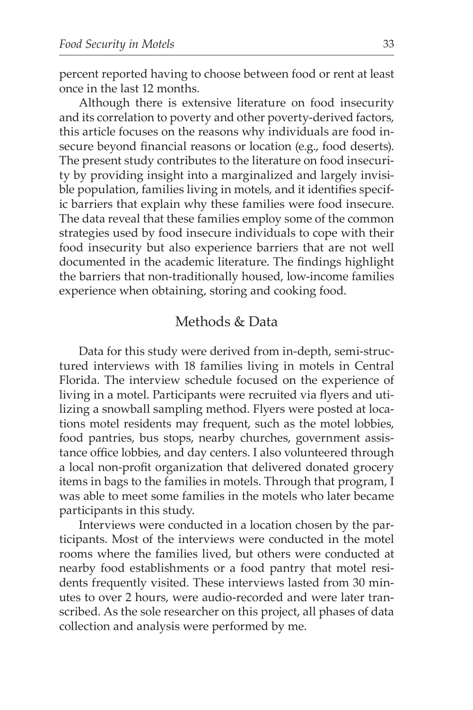percent reported having to choose between food or rent at least once in the last 12 months.

Although there is extensive literature on food insecurity and its correlation to poverty and other poverty-derived factors, this article focuses on the reasons why individuals are food insecure beyond financial reasons or location (e.g., food deserts). The present study contributes to the literature on food insecurity by providing insight into a marginalized and largely invisible population, families living in motels, and it identifies specific barriers that explain why these families were food insecure. The data reveal that these families employ some of the common strategies used by food insecure individuals to cope with their food insecurity but also experience barriers that are not well documented in the academic literature. The findings highlight the barriers that non-traditionally housed, low-income families experience when obtaining, storing and cooking food.

# Methods & Data

Data for this study were derived from in-depth, semi-structured interviews with 18 families living in motels in Central Florida. The interview schedule focused on the experience of living in a motel. Participants were recruited via flyers and utilizing a snowball sampling method. Flyers were posted at locations motel residents may frequent, such as the motel lobbies, food pantries, bus stops, nearby churches, government assistance office lobbies, and day centers. I also volunteered through a local non-profit organization that delivered donated grocery items in bags to the families in motels. Through that program, I was able to meet some families in the motels who later became participants in this study.

Interviews were conducted in a location chosen by the participants. Most of the interviews were conducted in the motel rooms where the families lived, but others were conducted at nearby food establishments or a food pantry that motel residents frequently visited. These interviews lasted from 30 minutes to over 2 hours, were audio-recorded and were later transcribed. As the sole researcher on this project, all phases of data collection and analysis were performed by me.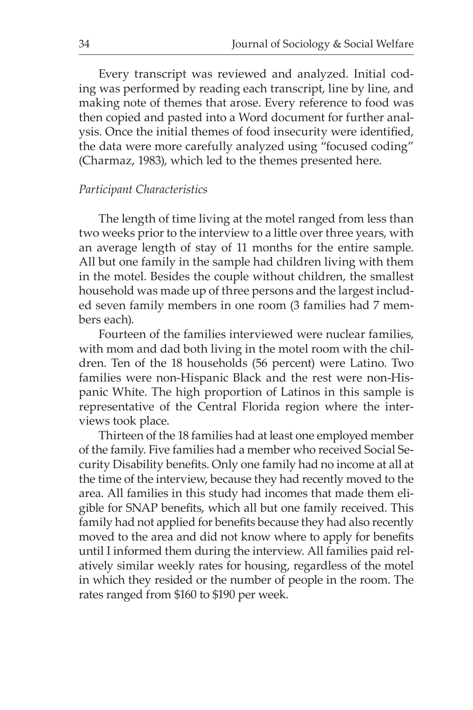Every transcript was reviewed and analyzed. Initial coding was performed by reading each transcript, line by line, and making note of themes that arose. Every reference to food was then copied and pasted into a Word document for further analysis. Once the initial themes of food insecurity were identified, the data were more carefully analyzed using "focused coding" (Charmaz, 1983), which led to the themes presented here.

#### *Participant Characteristics*

The length of time living at the motel ranged from less than two weeks prior to the interview to a little over three years, with an average length of stay of 11 months for the entire sample. All but one family in the sample had children living with them in the motel. Besides the couple without children, the smallest household was made up of three persons and the largest included seven family members in one room (3 families had 7 members each).

Fourteen of the families interviewed were nuclear families, with mom and dad both living in the motel room with the children. Ten of the 18 households (56 percent) were Latino. Two families were non-Hispanic Black and the rest were non-Hispanic White. The high proportion of Latinos in this sample is representative of the Central Florida region where the interviews took place.

Thirteen of the 18 families had at least one employed member of the family. Five families had a member who received Social Security Disability benefits. Only one family had no income at all at the time of the interview, because they had recently moved to the area. All families in this study had incomes that made them eligible for SNAP benefits, which all but one family received. This family had not applied for benefits because they had also recently moved to the area and did not know where to apply for benefits until I informed them during the interview. All families paid relatively similar weekly rates for housing, regardless of the motel in which they resided or the number of people in the room. The rates ranged from \$160 to \$190 per week.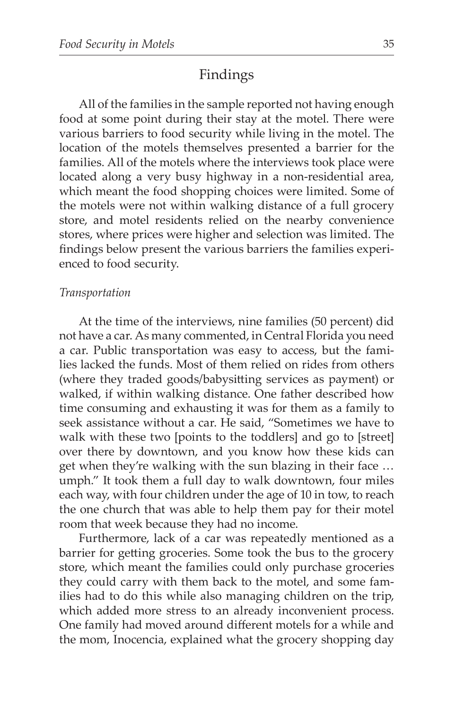# Findings

All of the families in the sample reported not having enough food at some point during their stay at the motel. There were various barriers to food security while living in the motel. The location of the motels themselves presented a barrier for the families. All of the motels where the interviews took place were located along a very busy highway in a non-residential area, which meant the food shopping choices were limited. Some of the motels were not within walking distance of a full grocery store, and motel residents relied on the nearby convenience stores, where prices were higher and selection was limited. The findings below present the various barriers the families experienced to food security.

#### *Transportation*

At the time of the interviews, nine families (50 percent) did not have a car. As many commented, in Central Florida you need a car. Public transportation was easy to access, but the families lacked the funds. Most of them relied on rides from others (where they traded goods/babysitting services as payment) or walked, if within walking distance. One father described how time consuming and exhausting it was for them as a family to seek assistance without a car. He said, "Sometimes we have to walk with these two [points to the toddlers] and go to [street] over there by downtown, and you know how these kids can get when they're walking with the sun blazing in their face … umph." It took them a full day to walk downtown, four miles each way, with four children under the age of 10 in tow, to reach the one church that was able to help them pay for their motel room that week because they had no income.

Furthermore, lack of a car was repeatedly mentioned as a barrier for getting groceries. Some took the bus to the grocery store, which meant the families could only purchase groceries they could carry with them back to the motel, and some families had to do this while also managing children on the trip, which added more stress to an already inconvenient process. One family had moved around different motels for a while and the mom, Inocencia, explained what the grocery shopping day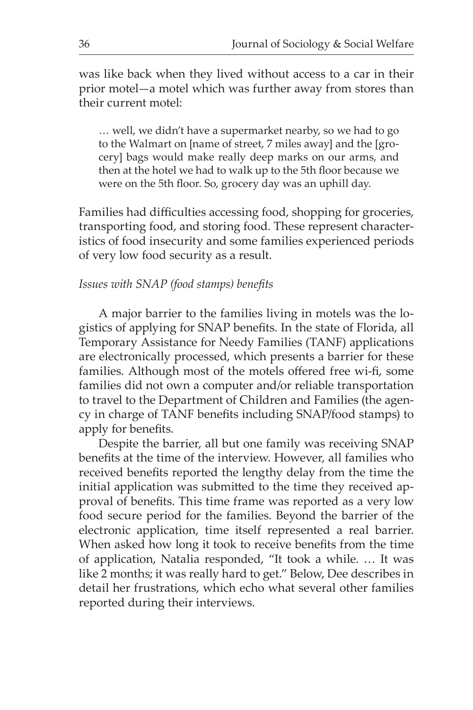was like back when they lived without access to a car in their prior motel—a motel which was further away from stores than their current motel:

… well, we didn't have a supermarket nearby, so we had to go to the Walmart on [name of street, 7 miles away] and the [grocery] bags would make really deep marks on our arms, and then at the hotel we had to walk up to the 5th floor because we were on the 5th floor. So, grocery day was an uphill day.

Families had difficulties accessing food, shopping for groceries, transporting food, and storing food. These represent characteristics of food insecurity and some families experienced periods of very low food security as a result.

#### *Issues with SNAP (food stamps) benefits*

A major barrier to the families living in motels was the logistics of applying for SNAP benefits. In the state of Florida, all Temporary Assistance for Needy Families (TANF) applications are electronically processed, which presents a barrier for these families. Although most of the motels offered free wi-fi, some families did not own a computer and/or reliable transportation to travel to the Department of Children and Families (the agency in charge of TANF benefits including SNAP/food stamps) to apply for benefits.

Despite the barrier, all but one family was receiving SNAP benefits at the time of the interview. However, all families who received benefits reported the lengthy delay from the time the initial application was submitted to the time they received approval of benefits. This time frame was reported as a very low food secure period for the families. Beyond the barrier of the electronic application, time itself represented a real barrier. When asked how long it took to receive benefits from the time of application, Natalia responded, "It took a while. … It was like 2 months; it was really hard to get." Below, Dee describes in detail her frustrations, which echo what several other families reported during their interviews.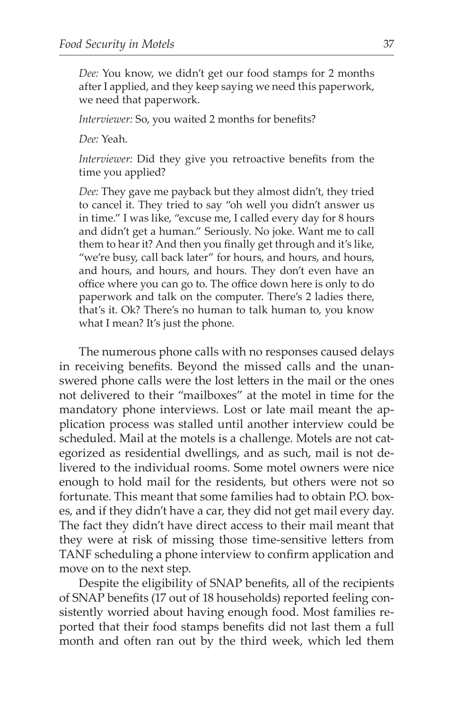*Dee:* You know, we didn't get our food stamps for 2 months after I applied, and they keep saying we need this paperwork, we need that paperwork.

*Interviewer:* So, you waited 2 months for benefits?

*Dee:* Yeah.

*Interviewer:* Did they give you retroactive benefits from the time you applied?

*Dee:* They gave me payback but they almost didn't, they tried to cancel it. They tried to say "oh well you didn't answer us in time." I was like, "excuse me, I called every day for 8 hours and didn't get a human." Seriously. No joke. Want me to call them to hear it? And then you finally get through and it's like, "we're busy, call back later" for hours, and hours, and hours, and hours, and hours, and hours. They don't even have an office where you can go to. The office down here is only to do paperwork and talk on the computer. There's 2 ladies there, that's it. Ok? There's no human to talk human to, you know what I mean? It's just the phone.

The numerous phone calls with no responses caused delays in receiving benefits. Beyond the missed calls and the unanswered phone calls were the lost letters in the mail or the ones not delivered to their "mailboxes" at the motel in time for the mandatory phone interviews. Lost or late mail meant the application process was stalled until another interview could be scheduled. Mail at the motels is a challenge. Motels are not categorized as residential dwellings, and as such, mail is not delivered to the individual rooms. Some motel owners were nice enough to hold mail for the residents, but others were not so fortunate. This meant that some families had to obtain P.O. boxes, and if they didn't have a car, they did not get mail every day. The fact they didn't have direct access to their mail meant that they were at risk of missing those time-sensitive letters from TANF scheduling a phone interview to confirm application and move on to the next step.

Despite the eligibility of SNAP benefits, all of the recipients of SNAP benefits (17 out of 18 households) reported feeling consistently worried about having enough food. Most families reported that their food stamps benefits did not last them a full month and often ran out by the third week, which led them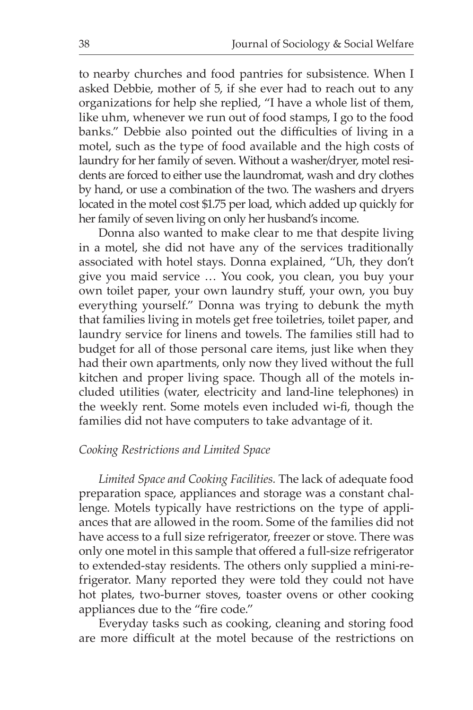to nearby churches and food pantries for subsistence. When I asked Debbie, mother of 5, if she ever had to reach out to any organizations for help she replied, "I have a whole list of them, like uhm, whenever we run out of food stamps, I go to the food banks." Debbie also pointed out the difficulties of living in a motel, such as the type of food available and the high costs of laundry for her family of seven. Without a washer/dryer, motel residents are forced to either use the laundromat, wash and dry clothes by hand, or use a combination of the two. The washers and dryers located in the motel cost \$1.75 per load, which added up quickly for her family of seven living on only her husband's income.

Donna also wanted to make clear to me that despite living in a motel, she did not have any of the services traditionally associated with hotel stays. Donna explained, "Uh, they don't give you maid service … You cook, you clean, you buy your own toilet paper, your own laundry stuff, your own, you buy everything yourself." Donna was trying to debunk the myth that families living in motels get free toiletries, toilet paper, and laundry service for linens and towels. The families still had to budget for all of those personal care items, just like when they had their own apartments, only now they lived without the full kitchen and proper living space. Though all of the motels included utilities (water, electricity and land-line telephones) in the weekly rent. Some motels even included wi-fi, though the families did not have computers to take advantage of it.

#### *Cooking Restrictions and Limited Space*

*Limited Space and Cooking Facilities.* The lack of adequate food preparation space, appliances and storage was a constant challenge. Motels typically have restrictions on the type of appliances that are allowed in the room. Some of the families did not have access to a full size refrigerator, freezer or stove. There was only one motel in this sample that offered a full-size refrigerator to extended-stay residents. The others only supplied a mini-refrigerator. Many reported they were told they could not have hot plates, two-burner stoves, toaster ovens or other cooking appliances due to the "fire code."

Everyday tasks such as cooking, cleaning and storing food are more difficult at the motel because of the restrictions on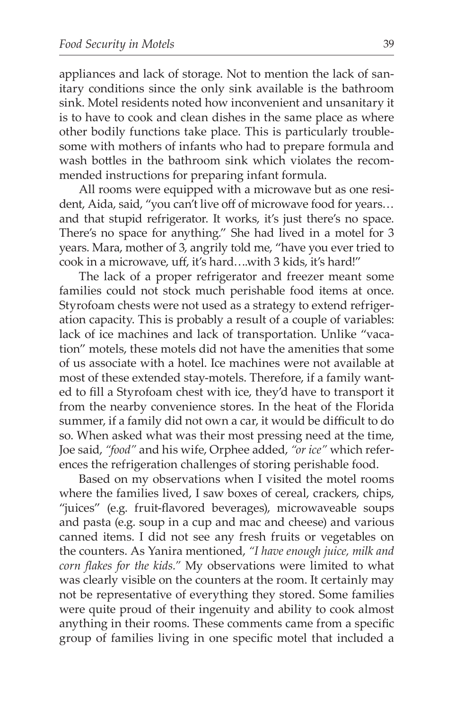appliances and lack of storage. Not to mention the lack of sanitary conditions since the only sink available is the bathroom sink. Motel residents noted how inconvenient and unsanitary it is to have to cook and clean dishes in the same place as where other bodily functions take place. This is particularly troublesome with mothers of infants who had to prepare formula and wash bottles in the bathroom sink which violates the recommended instructions for preparing infant formula.

All rooms were equipped with a microwave but as one resident, Aida, said, "you can't live off of microwave food for years… and that stupid refrigerator. It works, it's just there's no space. There's no space for anything." She had lived in a motel for 3 years. Mara, mother of 3, angrily told me, "have you ever tried to cook in a microwave, uff, it's hard….with 3 kids, it's hard!"

The lack of a proper refrigerator and freezer meant some families could not stock much perishable food items at once. Styrofoam chests were not used as a strategy to extend refrigeration capacity. This is probably a result of a couple of variables: lack of ice machines and lack of transportation. Unlike "vacation" motels, these motels did not have the amenities that some of us associate with a hotel. Ice machines were not available at most of these extended stay-motels. Therefore, if a family wanted to fill a Styrofoam chest with ice, they'd have to transport it from the nearby convenience stores. In the heat of the Florida summer, if a family did not own a car, it would be difficult to do so. When asked what was their most pressing need at the time, Joe said, *"food"* and his wife, Orphee added, *"or ice"* which references the refrigeration challenges of storing perishable food.

Based on my observations when I visited the motel rooms where the families lived, I saw boxes of cereal, crackers, chips, "juices" (e.g. fruit-flavored beverages), microwaveable soups and pasta (e.g. soup in a cup and mac and cheese) and various canned items. I did not see any fresh fruits or vegetables on the counters. As Yanira mentioned, *"I have enough juice, milk and corn flakes for the kids."* My observations were limited to what was clearly visible on the counters at the room. It certainly may not be representative of everything they stored. Some families were quite proud of their ingenuity and ability to cook almost anything in their rooms. These comments came from a specific group of families living in one specific motel that included a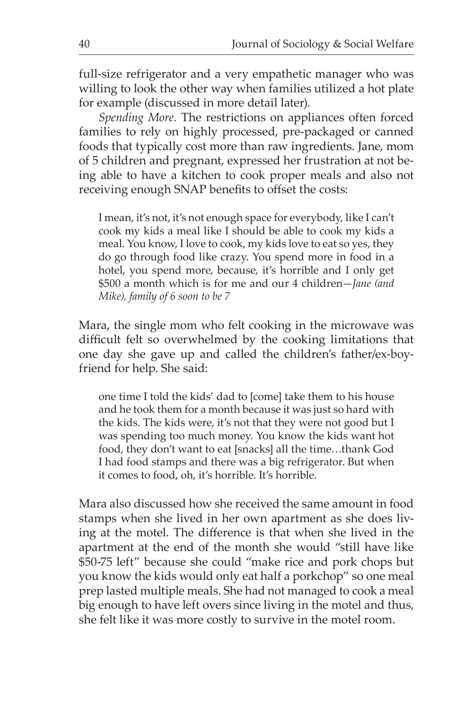full-size refrigerator and a very empathetic manager who was willing to look the other way when families utilized a hot plate for example (discussed in more detail later).

*Spending More.* The restrictions on appliances often forced families to rely on highly processed, pre-packaged or canned foods that typically cost more than raw ingredients. Jane, mom of 5 children and pregnant, expressed her frustration at not being able to have a kitchen to cook proper meals and also not receiving enough SNAP benefits to offset the costs:

I mean, it's not, it's not enough space for everybody, like I can't cook my kids a meal like I should be able to cook my kids a meal. You know, I love to cook, my kids love to eat so yes, they do go through food like crazy. You spend more in food in a hotel, you spend more, because, it's horrible and I only get \$500 a month which is for me and our 4 children—*Jane (and Mike), family of 6 soon to be 7*

Mara, the single mom who felt cooking in the microwave was difficult felt so overwhelmed by the cooking limitations that one day she gave up and called the children's father/ex-boyfriend for help. She said:

one time I told the kids' dad to [come] take them to his house and he took them for a month because it was just so hard with the kids. The kids were, it's not that they were not good but I was spending too much money. You know the kids want hot food, they don't want to eat [snacks] all the time…thank God I had food stamps and there was a big refrigerator. But when it comes to food, oh, it's horrible. It's horrible.

Mara also discussed how she received the same amount in food stamps when she lived in her own apartment as she does living at the motel. The difference is that when she lived in the apartment at the end of the month she would "still have like \$50-75 left" because she could "make rice and pork chops but you know the kids would only eat half a porkchop" so one meal prep lasted multiple meals. She had not managed to cook a meal big enough to have left overs since living in the motel and thus, she felt like it was more costly to survive in the motel room.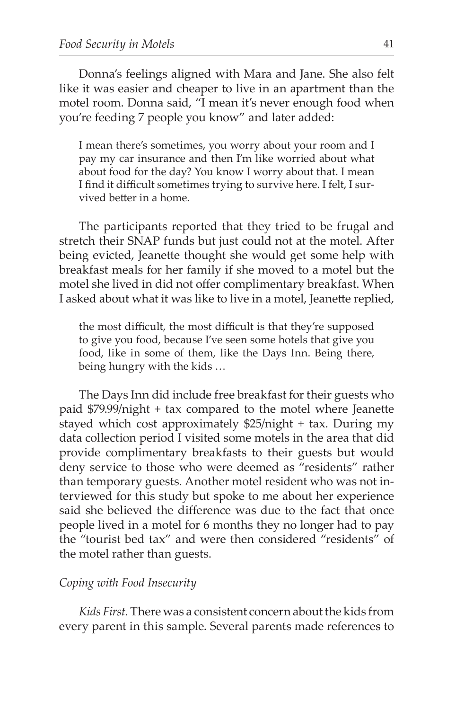Donna's feelings aligned with Mara and Jane. She also felt like it was easier and cheaper to live in an apartment than the motel room. Donna said, "I mean it's never enough food when you're feeding 7 people you know" and later added:

I mean there's sometimes, you worry about your room and I pay my car insurance and then I'm like worried about what about food for the day? You know I worry about that. I mean I find it difficult sometimes trying to survive here. I felt, I survived better in a home.

The participants reported that they tried to be frugal and stretch their SNAP funds but just could not at the motel. After being evicted, Jeanette thought she would get some help with breakfast meals for her family if she moved to a motel but the motel she lived in did not offer complimentary breakfast. When I asked about what it was like to live in a motel, Jeanette replied,

the most difficult, the most difficult is that they're supposed to give you food, because I've seen some hotels that give you food, like in some of them, like the Days Inn. Being there, being hungry with the kids …

The Days Inn did include free breakfast for their guests who paid \$79.99/night + tax compared to the motel where Jeanette stayed which cost approximately \$25/night + tax. During my data collection period I visited some motels in the area that did provide complimentary breakfasts to their guests but would deny service to those who were deemed as "residents" rather than temporary guests. Another motel resident who was not interviewed for this study but spoke to me about her experience said she believed the difference was due to the fact that once people lived in a motel for 6 months they no longer had to pay the "tourist bed tax" and were then considered "residents" of the motel rather than guests.

#### *Coping with Food Insecurity*

*Kids First.* There was a consistent concern about the kids from every parent in this sample. Several parents made references to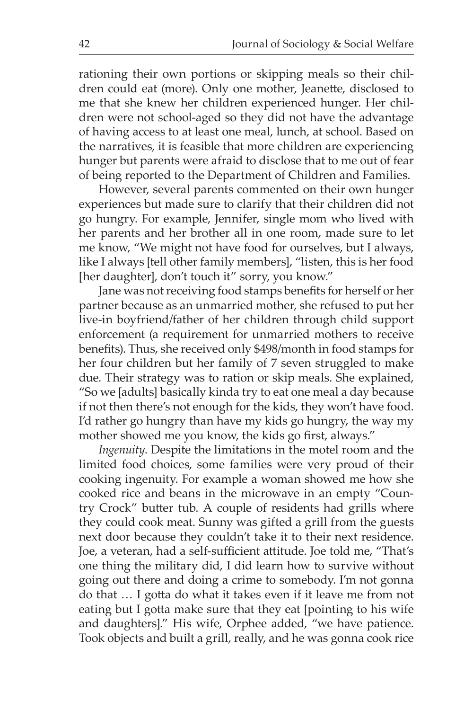rationing their own portions or skipping meals so their children could eat (more). Only one mother, Jeanette, disclosed to me that she knew her children experienced hunger. Her children were not school-aged so they did not have the advantage of having access to at least one meal, lunch, at school. Based on the narratives, it is feasible that more children are experiencing hunger but parents were afraid to disclose that to me out of fear of being reported to the Department of Children and Families.

However, several parents commented on their own hunger experiences but made sure to clarify that their children did not go hungry. For example, Jennifer, single mom who lived with her parents and her brother all in one room, made sure to let me know, "We might not have food for ourselves, but I always, like I always [tell other family members], "listen, this is her food [her daughter], don't touch it" sorry, you know."

Jane was not receiving food stamps benefits for herself or her partner because as an unmarried mother, she refused to put her live-in boyfriend/father of her children through child support enforcement (a requirement for unmarried mothers to receive benefits). Thus, she received only \$498/month in food stamps for her four children but her family of 7 seven struggled to make due. Their strategy was to ration or skip meals. She explained, "So we [adults] basically kinda try to eat one meal a day because if not then there's not enough for the kids, they won't have food. I'd rather go hungry than have my kids go hungry, the way my mother showed me you know, the kids go first, always."

*Ingenuity*. Despite the limitations in the motel room and the limited food choices, some families were very proud of their cooking ingenuity. For example a woman showed me how she cooked rice and beans in the microwave in an empty "Country Crock" butter tub. A couple of residents had grills where they could cook meat. Sunny was gifted a grill from the guests next door because they couldn't take it to their next residence. Joe, a veteran, had a self-sufficient attitude. Joe told me, "That's one thing the military did, I did learn how to survive without going out there and doing a crime to somebody. I'm not gonna do that … I gotta do what it takes even if it leave me from not eating but I gotta make sure that they eat [pointing to his wife and daughters]." His wife, Orphee added, "we have patience. Took objects and built a grill, really, and he was gonna cook rice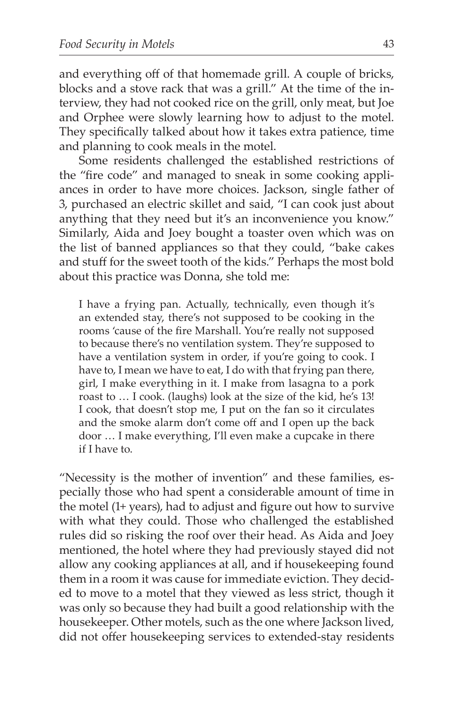and everything off of that homemade grill. A couple of bricks, blocks and a stove rack that was a grill." At the time of the interview, they had not cooked rice on the grill, only meat, but Joe and Orphee were slowly learning how to adjust to the motel. They specifically talked about how it takes extra patience, time and planning to cook meals in the motel.

Some residents challenged the established restrictions of the "fire code" and managed to sneak in some cooking appliances in order to have more choices. Jackson, single father of 3, purchased an electric skillet and said, "I can cook just about anything that they need but it's an inconvenience you know." Similarly, Aida and Joey bought a toaster oven which was on the list of banned appliances so that they could, "bake cakes and stuff for the sweet tooth of the kids." Perhaps the most bold about this practice was Donna, she told me:

I have a frying pan. Actually, technically, even though it's an extended stay, there's not supposed to be cooking in the rooms 'cause of the fire Marshall. You're really not supposed to because there's no ventilation system. They're supposed to have a ventilation system in order, if you're going to cook. I have to, I mean we have to eat, I do with that frying pan there, girl, I make everything in it. I make from lasagna to a pork roast to … I cook. (laughs) look at the size of the kid, he's 13! I cook, that doesn't stop me, I put on the fan so it circulates and the smoke alarm don't come off and I open up the back door … I make everything, I'll even make a cupcake in there if I have to.

"Necessity is the mother of invention" and these families, especially those who had spent a considerable amount of time in the motel (1+ years), had to adjust and figure out how to survive with what they could. Those who challenged the established rules did so risking the roof over their head. As Aida and Joey mentioned, the hotel where they had previously stayed did not allow any cooking appliances at all, and if housekeeping found them in a room it was cause for immediate eviction. They decided to move to a motel that they viewed as less strict, though it was only so because they had built a good relationship with the housekeeper. Other motels, such as the one where Jackson lived, did not offer housekeeping services to extended-stay residents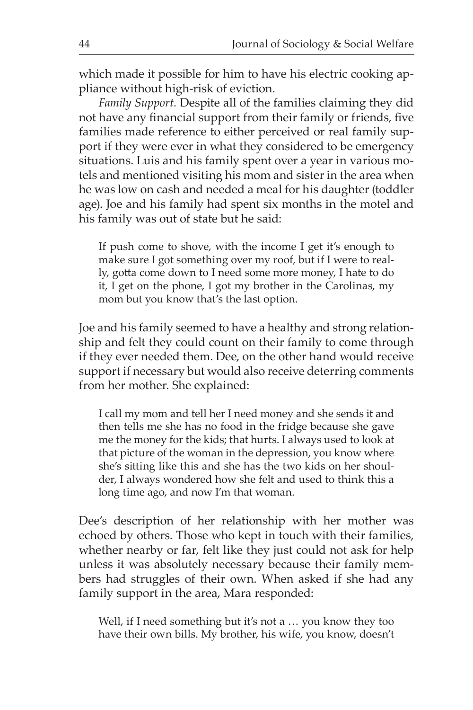which made it possible for him to have his electric cooking appliance without high-risk of eviction.

*Family Support.* Despite all of the families claiming they did not have any financial support from their family or friends, five families made reference to either perceived or real family support if they were ever in what they considered to be emergency situations. Luis and his family spent over a year in various motels and mentioned visiting his mom and sister in the area when he was low on cash and needed a meal for his daughter (toddler age). Joe and his family had spent six months in the motel and his family was out of state but he said:

If push come to shove, with the income I get it's enough to make sure I got something over my roof, but if I were to really, gotta come down to I need some more money, I hate to do it, I get on the phone, I got my brother in the Carolinas, my mom but you know that's the last option.

Joe and his family seemed to have a healthy and strong relationship and felt they could count on their family to come through if they ever needed them. Dee, on the other hand would receive support if necessary but would also receive deterring comments from her mother. She explained:

I call my mom and tell her I need money and she sends it and then tells me she has no food in the fridge because she gave me the money for the kids; that hurts. I always used to look at that picture of the woman in the depression, you know where she's sitting like this and she has the two kids on her shoulder, I always wondered how she felt and used to think this a long time ago, and now I'm that woman.

Dee's description of her relationship with her mother was echoed by others. Those who kept in touch with their families, whether nearby or far, felt like they just could not ask for help unless it was absolutely necessary because their family members had struggles of their own. When asked if she had any family support in the area, Mara responded:

Well, if I need something but it's not a ... you know they too have their own bills. My brother, his wife, you know, doesn't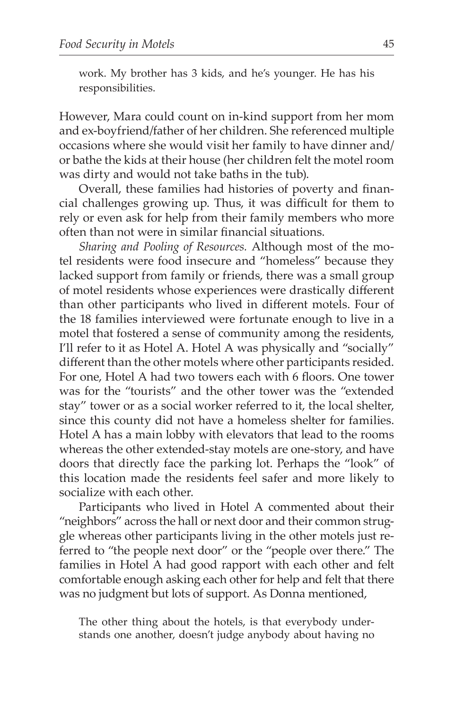work. My brother has 3 kids, and he's younger. He has his responsibilities.

However, Mara could count on in-kind support from her mom and ex-boyfriend/father of her children. She referenced multiple occasions where she would visit her family to have dinner and/ or bathe the kids at their house (her children felt the motel room was dirty and would not take baths in the tub).

Overall, these families had histories of poverty and financial challenges growing up. Thus, it was difficult for them to rely or even ask for help from their family members who more often than not were in similar financial situations.

*Sharing and Pooling of Resources.* Although most of the motel residents were food insecure and "homeless" because they lacked support from family or friends, there was a small group of motel residents whose experiences were drastically different than other participants who lived in different motels. Four of the 18 families interviewed were fortunate enough to live in a motel that fostered a sense of community among the residents, I'll refer to it as Hotel A. Hotel A was physically and "socially" different than the other motels where other participants resided. For one, Hotel A had two towers each with 6 floors. One tower was for the "tourists" and the other tower was the "extended stay" tower or as a social worker referred to it, the local shelter, since this county did not have a homeless shelter for families. Hotel A has a main lobby with elevators that lead to the rooms whereas the other extended-stay motels are one-story, and have doors that directly face the parking lot. Perhaps the "look" of this location made the residents feel safer and more likely to socialize with each other.

Participants who lived in Hotel A commented about their "neighbors" across the hall or next door and their common struggle whereas other participants living in the other motels just referred to "the people next door" or the "people over there." The families in Hotel A had good rapport with each other and felt comfortable enough asking each other for help and felt that there was no judgment but lots of support. As Donna mentioned,

The other thing about the hotels, is that everybody understands one another, doesn't judge anybody about having no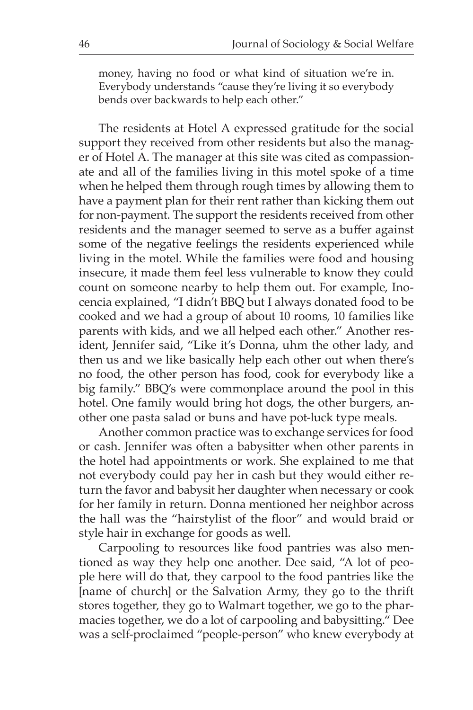money, having no food or what kind of situation we're in. Everybody understands "cause they're living it so everybody bends over backwards to help each other."

The residents at Hotel A expressed gratitude for the social support they received from other residents but also the manager of Hotel A. The manager at this site was cited as compassionate and all of the families living in this motel spoke of a time when he helped them through rough times by allowing them to have a payment plan for their rent rather than kicking them out for non-payment. The support the residents received from other residents and the manager seemed to serve as a buffer against some of the negative feelings the residents experienced while living in the motel. While the families were food and housing insecure, it made them feel less vulnerable to know they could count on someone nearby to help them out. For example, Inocencia explained, "I didn't BBQ but I always donated food to be cooked and we had a group of about 10 rooms, 10 families like parents with kids, and we all helped each other." Another resident, Jennifer said, "Like it's Donna, uhm the other lady, and then us and we like basically help each other out when there's no food, the other person has food, cook for everybody like a big family." BBQ's were commonplace around the pool in this hotel. One family would bring hot dogs, the other burgers, another one pasta salad or buns and have pot-luck type meals.

Another common practice was to exchange services for food or cash. Jennifer was often a babysitter when other parents in the hotel had appointments or work. She explained to me that not everybody could pay her in cash but they would either return the favor and babysit her daughter when necessary or cook for her family in return. Donna mentioned her neighbor across the hall was the "hairstylist of the floor" and would braid or style hair in exchange for goods as well.

Carpooling to resources like food pantries was also mentioned as way they help one another. Dee said, "A lot of people here will do that, they carpool to the food pantries like the [name of church] or the Salvation Army, they go to the thrift stores together, they go to Walmart together, we go to the pharmacies together, we do a lot of carpooling and babysitting." Dee was a self-proclaimed "people-person" who knew everybody at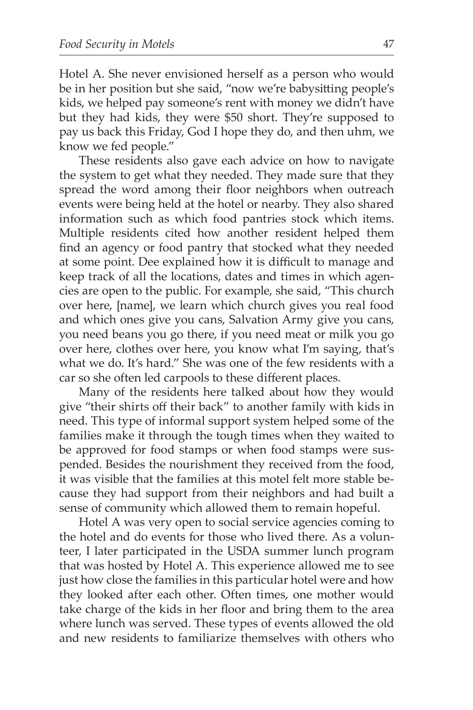Hotel A. She never envisioned herself as a person who would be in her position but she said, "now we're babysitting people's kids, we helped pay someone's rent with money we didn't have but they had kids, they were \$50 short. They're supposed to pay us back this Friday, God I hope they do, and then uhm, we know we fed people."

These residents also gave each advice on how to navigate the system to get what they needed. They made sure that they spread the word among their floor neighbors when outreach events were being held at the hotel or nearby. They also shared information such as which food pantries stock which items. Multiple residents cited how another resident helped them find an agency or food pantry that stocked what they needed at some point. Dee explained how it is difficult to manage and keep track of all the locations, dates and times in which agencies are open to the public. For example, she said, "This church over here, [name], we learn which church gives you real food and which ones give you cans, Salvation Army give you cans, you need beans you go there, if you need meat or milk you go over here, clothes over here, you know what I'm saying, that's what we do. It's hard." She was one of the few residents with a car so she often led carpools to these different places.

Many of the residents here talked about how they would give "their shirts off their back" to another family with kids in need. This type of informal support system helped some of the families make it through the tough times when they waited to be approved for food stamps or when food stamps were suspended. Besides the nourishment they received from the food, it was visible that the families at this motel felt more stable because they had support from their neighbors and had built a sense of community which allowed them to remain hopeful.

Hotel A was very open to social service agencies coming to the hotel and do events for those who lived there. As a volunteer, I later participated in the USDA summer lunch program that was hosted by Hotel A. This experience allowed me to see just how close the families in this particular hotel were and how they looked after each other. Often times, one mother would take charge of the kids in her floor and bring them to the area where lunch was served. These types of events allowed the old and new residents to familiarize themselves with others who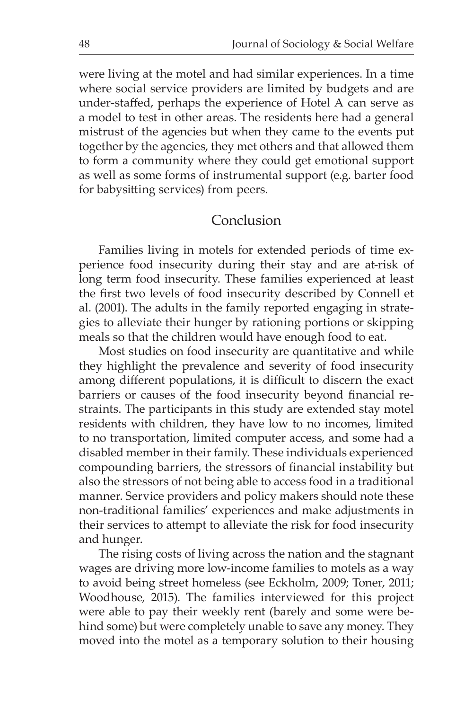were living at the motel and had similar experiences. In a time where social service providers are limited by budgets and are under-staffed, perhaps the experience of Hotel A can serve as a model to test in other areas. The residents here had a general mistrust of the agencies but when they came to the events put together by the agencies, they met others and that allowed them to form a community where they could get emotional support as well as some forms of instrumental support (e.g. barter food for babysitting services) from peers.

### Conclusion

Families living in motels for extended periods of time experience food insecurity during their stay and are at-risk of long term food insecurity. These families experienced at least the first two levels of food insecurity described by Connell et al. (2001). The adults in the family reported engaging in strategies to alleviate their hunger by rationing portions or skipping meals so that the children would have enough food to eat.

Most studies on food insecurity are quantitative and while they highlight the prevalence and severity of food insecurity among different populations, it is difficult to discern the exact barriers or causes of the food insecurity beyond financial restraints. The participants in this study are extended stay motel residents with children, they have low to no incomes, limited to no transportation, limited computer access, and some had a disabled member in their family. These individuals experienced compounding barriers, the stressors of financial instability but also the stressors of not being able to access food in a traditional manner. Service providers and policy makers should note these non-traditional families' experiences and make adjustments in their services to attempt to alleviate the risk for food insecurity and hunger.

The rising costs of living across the nation and the stagnant wages are driving more low-income families to motels as a way to avoid being street homeless (see Eckholm, 2009; Toner, 2011; Woodhouse, 2015). The families interviewed for this project were able to pay their weekly rent (barely and some were behind some) but were completely unable to save any money. They moved into the motel as a temporary solution to their housing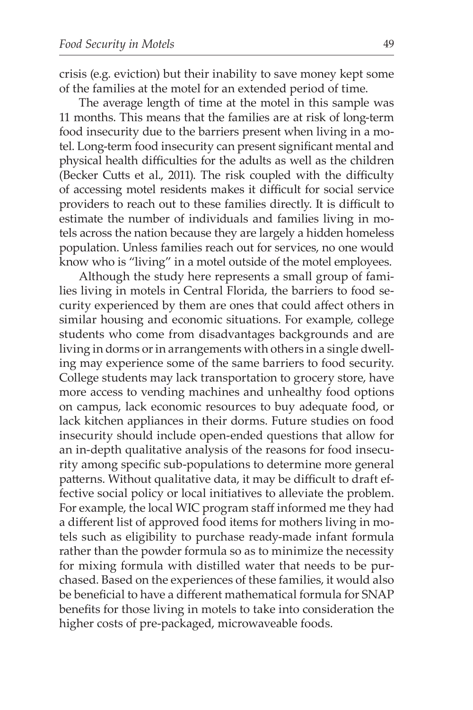crisis (e.g. eviction) but their inability to save money kept some of the families at the motel for an extended period of time.

The average length of time at the motel in this sample was 11 months. This means that the families are at risk of long-term food insecurity due to the barriers present when living in a motel. Long-term food insecurity can present significant mental and physical health difficulties for the adults as well as the children (Becker Cutts et al., 2011). The risk coupled with the difficulty of accessing motel residents makes it difficult for social service providers to reach out to these families directly. It is difficult to estimate the number of individuals and families living in motels across the nation because they are largely a hidden homeless population. Unless families reach out for services, no one would know who is "living" in a motel outside of the motel employees.

Although the study here represents a small group of families living in motels in Central Florida, the barriers to food security experienced by them are ones that could affect others in similar housing and economic situations. For example, college students who come from disadvantages backgrounds and are living in dorms or in arrangements with others in a single dwelling may experience some of the same barriers to food security. College students may lack transportation to grocery store, have more access to vending machines and unhealthy food options on campus, lack economic resources to buy adequate food, or lack kitchen appliances in their dorms. Future studies on food insecurity should include open-ended questions that allow for an in-depth qualitative analysis of the reasons for food insecurity among specific sub-populations to determine more general patterns. Without qualitative data, it may be difficult to draft effective social policy or local initiatives to alleviate the problem. For example, the local WIC program staff informed me they had a different list of approved food items for mothers living in motels such as eligibility to purchase ready-made infant formula rather than the powder formula so as to minimize the necessity for mixing formula with distilled water that needs to be purchased. Based on the experiences of these families, it would also be beneficial to have a different mathematical formula for SNAP benefits for those living in motels to take into consideration the higher costs of pre-packaged, microwaveable foods.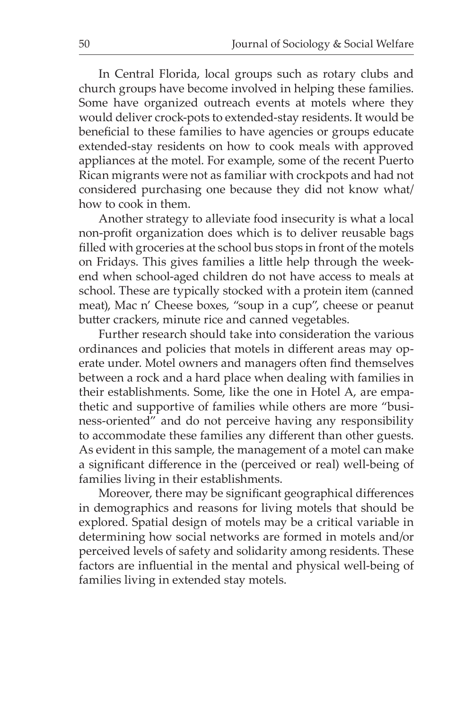In Central Florida, local groups such as rotary clubs and church groups have become involved in helping these families. Some have organized outreach events at motels where they would deliver crock-pots to extended-stay residents. It would be beneficial to these families to have agencies or groups educate extended-stay residents on how to cook meals with approved appliances at the motel. For example, some of the recent Puerto Rican migrants were not as familiar with crockpots and had not considered purchasing one because they did not know what/ how to cook in them.

Another strategy to alleviate food insecurity is what a local non-profit organization does which is to deliver reusable bags filled with groceries at the school bus stops in front of the motels on Fridays. This gives families a little help through the weekend when school-aged children do not have access to meals at school. These are typically stocked with a protein item (canned meat), Mac n' Cheese boxes, "soup in a cup", cheese or peanut butter crackers, minute rice and canned vegetables.

Further research should take into consideration the various ordinances and policies that motels in different areas may operate under. Motel owners and managers often find themselves between a rock and a hard place when dealing with families in their establishments. Some, like the one in Hotel A, are empathetic and supportive of families while others are more "business-oriented" and do not perceive having any responsibility to accommodate these families any different than other guests. As evident in this sample, the management of a motel can make a significant difference in the (perceived or real) well-being of families living in their establishments.

Moreover, there may be significant geographical differences in demographics and reasons for living motels that should be explored. Spatial design of motels may be a critical variable in determining how social networks are formed in motels and/or perceived levels of safety and solidarity among residents. These factors are influential in the mental and physical well-being of families living in extended stay motels.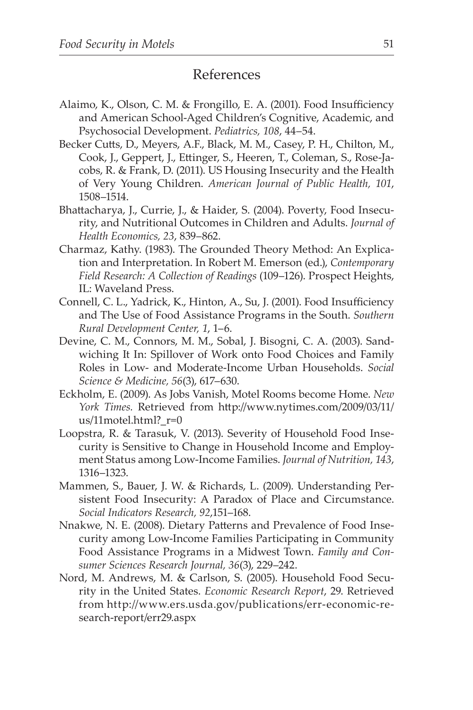# References

- Alaimo, K., Olson, C. M. & Frongillo, E. A. (2001). Food Insufficiency and American School-Aged Children's Cognitive, Academic, and Psychosocial Development. *Pediatrics, 108*, 44–54.
- Becker Cutts, D., Meyers, A.F., Black, M. M., Casey, P. H., Chilton, M., Cook, J., Geppert, J., Ettinger, S., Heeren, T., Coleman, S., Rose-Jacobs, R. & Frank, D. (2011). US Housing Insecurity and the Health of Very Young Children. *American Journal of Public Health, 101*, 1508–1514.
- Bhattacharya, J., Currie, J., & Haider, S. (2004). Poverty, Food Insecurity, and Nutritional Outcomes in Children and Adults. *Journal of Health Economics, 23*, 839–862.
- Charmaz, Kathy. (1983). The Grounded Theory Method: An Explication and Interpretation. In Robert M. Emerson (ed.), *Contemporary Field Research: A Collection of Readings* (109–126). Prospect Heights, IL: Waveland Press.
- Connell, C. L., Yadrick, K., Hinton, A., Su, J. (2001). Food Insufficiency and The Use of Food Assistance Programs in the South. *Southern Rural Development Center, 1*, 1–6.
- Devine, C. M., Connors, M. M., Sobal, J. Bisogni, C. A. (2003). Sandwiching It In: Spillover of Work onto Food Choices and Family Roles in Low- and Moderate-Income Urban Households. *Social Science & Medicine, 56*(3), 617–630.
- Eckholm, E. (2009). As Jobs Vanish, Motel Rooms become Home. *New York Times.* Retrieved from http://www.nytimes.com/2009/03/11/ us/11motel.html?\_r=0
- Loopstra, R. & Tarasuk, V. (2013). Severity of Household Food Insecurity is Sensitive to Change in Household Income and Employment Status among Low-Income Families. *Journal of Nutrition, 143*, 1316–1323.
- Mammen, S., Bauer, J. W. & Richards, L. (2009). Understanding Persistent Food Insecurity: A Paradox of Place and Circumstance. *Social Indicators Research, 92*,151–168.
- Nnakwe, N. E. (2008). Dietary Patterns and Prevalence of Food Insecurity among Low-Income Families Participating in Community Food Assistance Programs in a Midwest Town. *Family and Consumer Sciences Research Journal, 36*(3), 229–242.
- Nord, M. Andrews, M. & Carlson, S. (2005). Household Food Security in the United States. *Economic Research Report*, 29. Retrieved from http://www.ers.usda.gov/publications/err-economic-research-report/err29.aspx